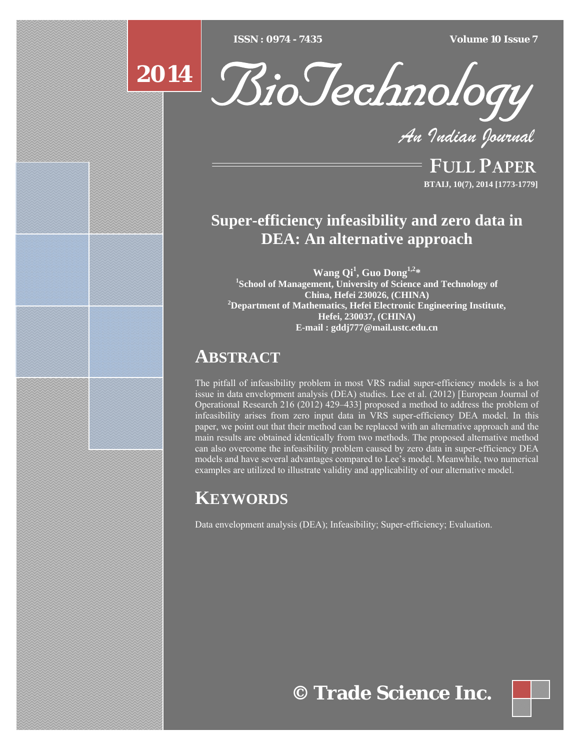[Type text] [Type text] [Type text] *ISSN : 0974 - 7435 Volume 10 Issue 7*





*An Indian Journal*

FULL PAPER **BTAIJ, 10(7), 2014 [1773-1779]**

# **Super-efficiency infeasibility and zero data in DEA: An alternative approach**

**Wang Qi<sup>1</sup> , Guo Dong1,2\* <sup>1</sup>** <sup>1</sup>School of Management, University of Science and Technology of **China, Hefei 230026, (CHINA) 2 Department of Mathematics, Hefei Electronic Engineering Institute, Hefei, 230037, (CHINA) E-mail : gddj777@mail.ustc.edu.cn**

# **ABSTRACT**

The pitfall of infeasibility problem in most VRS radial super-efficiency models is a hot issue in data envelopment analysis (DEA) studies. Lee et al. (2012) [European Journal of Operational Research 216 (2012) 429–433] proposed a method to address the problem of infeasibility arises from zero input data in VRS super-efficiency DEA model. In this paper, we point out that their method can be replaced with an alternative approach and the main results are obtained identically from two methods. The proposed alternative method can also overcome the infeasibility problem caused by zero data in super-efficiency DEA models and have several advantages compared to Lee's model. Meanwhile, two numerical examples are utilized to illustrate validity and applicability of our alternative model.

# **KEYWORDS**

Data envelopment analysis (DEA); Infeasibility; Super-efficiency; Evaluation.

**© Trade Science Inc.**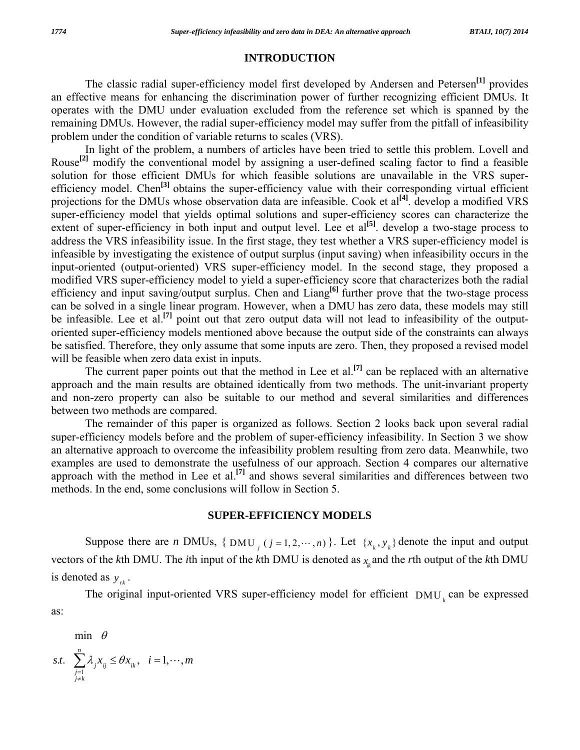#### **INTRODUCTION**

The classic radial super-efficiency model first developed by Andersen and Petersen**[1]** provides an effective means for enhancing the discrimination power of further recognizing efficient DMUs. It operates with the DMU under evaluation excluded from the reference set which is spanned by the remaining DMUs. However, the radial super-efficiency model may suffer from the pitfall of infeasibility problem under the condition of variable returns to scales (VRS).

In light of the problem, a numbers of articles have been tried to settle this problem. Lovell and Rouse**[2]** modify the conventional model by assigning a user-defined scaling factor to find a feasible solution for those efficient DMUs for which feasible solutions are unavailable in the VRS superefficiency model. Chen**[3]** obtains the super-efficiency value with their corresponding virtual efficient projections for the DMUs whose observation data are infeasible. Cook et al<sup>[4]</sup>. develop a modified VRS super-efficiency model that yields optimal solutions and super-efficiency scores can characterize the extent of super-efficiency in both input and output level. Lee et  $al^{[5]}$ . develop a two-stage process to address the VRS infeasibility issue. In the first stage, they test whether a VRS super-efficiency model is infeasible by investigating the existence of output surplus (input saving) when infeasibility occurs in the input-oriented (output-oriented) VRS super-efficiency model. In the second stage, they proposed a modified VRS super-efficiency model to yield a super-efficiency score that characterizes both the radial efficiency and input saving/output surplus. Chen and Liang**[6]** further prove that the two-stage process can be solved in a single linear program. However, when a DMU has zero data, these models may still be infeasible. Lee et al.<sup>[7]</sup> point out that zero output data will not lead to infeasibility of the outputoriented super-efficiency models mentioned above because the output side of the constraints can always be satisfied. Therefore, they only assume that some inputs are zero. Then, they proposed a revised model will be feasible when zero data exist in inputs.

The current paper points out that the method in Lee et al.**[7]** can be replaced with an alternative approach and the main results are obtained identically from two methods. The unit-invariant property and non-zero property can also be suitable to our method and several similarities and differences between two methods are compared.

The remainder of this paper is organized as follows. Section 2 looks back upon several radial super-efficiency models before and the problem of super-efficiency infeasibility. In Section 3 we show an alternative approach to overcome the infeasibility problem resulting from zero data. Meanwhile, two examples are used to demonstrate the usefulness of our approach. Section 4 compares our alternative approach with the method in Lee et al.**[7]** and shows several similarities and differences between two methods. In the end, some conclusions will follow in Section 5.

### **SUPER-EFFICIENCY MODELS**

Suppose there are *n* DMUs, { DMU<sub>j</sub> ( $j = 1, 2, \dots, n$ ) }. Let  $\{x_k, y_k\}$  denote the input and output vectors of the *k*th DMU. The *i*th input of the *k*th DMU is denoted as  $x_{ik}$  and the *r*th output of the *k*th DMU is denoted as  $y_{rk}$ .

The original input-oriented VRS super-efficiency model for efficient  $DMU<sub>k</sub>$  can be expressed as:

min θ

$$
s.t. \sum_{\substack{j=1 \ j \neq k}}^n \lambda_j x_{ij} \leq \theta x_{ik}, \quad i = 1, \cdots, m
$$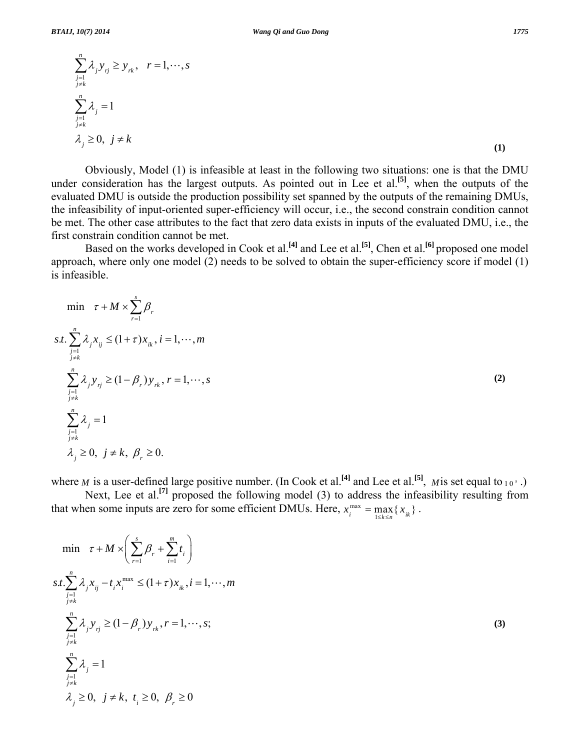$$
\sum_{\substack{j=1 \ j \neq k}}^{n} \lambda_j y_{rj} \ge y_{rk}, \quad r = 1, \dots, s
$$
\n
$$
\sum_{\substack{j=1 \ j \neq k}}^{n} \lambda_j = 1
$$
\n
$$
\lambda_j \ge 0, \quad j \neq k
$$
\n(1)

Obviously, Model (1) is infeasible at least in the following two situations: one is that the DMU under consideration has the largest outputs. As pointed out in Lee et al.<sup>[5]</sup>, when the outputs of the evaluated DMU is outside the production possibility set spanned by the outputs of the remaining DMUs, the infeasibility of input-oriented super-efficiency will occur, i.e., the second constrain condition cannot be met. The other case attributes to the fact that zero data exists in inputs of the evaluated DMU, i.e., the first constrain condition cannot be met.

Based on the works developed in Cook et al.**[4]** and Lee et al.**[5]**, Chen et al.**[6]** proposed one model approach, where only one model (2) needs to be solved to obtain the super-efficiency score if model (1) is infeasible.

$$
\min_{\tau} \tau + M \times \sum_{r=1}^{s} \beta_r
$$
\n
$$
s.t. \sum_{\substack{j=1 \ j \neq k}}^{n} \lambda_j x_{ij} \le (1+\tau)x_{ik}, i = 1, \dots, m
$$
\n
$$
\sum_{\substack{j=1 \ j \neq k}}^{n} \lambda_j y_{ij} \ge (1-\beta_r)y_{rk}, r = 1, \dots, s
$$
\n
$$
\sum_{\substack{j=1 \ j \neq k}}^{n} \lambda_j = 1
$$
\n
$$
\lambda_j \ge 0, j \neq k, \beta_r \ge 0.
$$
\n(2)

where *M* is a user-defined large positive number. (In Cook et al.<sup>[4]</sup> and Lee et al.<sup>[5]</sup>, *M* is set equal to  $10^{-5}$ .)

Next, Lee et al.<sup>[7]</sup> proposed the following model (3) to address the infeasibility resulting from that when some inputs are zero for some efficient DMUs. Here,  $x_i^{\text{max}} = \max\{x_{i_k}\}\.$  $x_i^{\max} = \max_{1 \leq k \leq n} \{x_{ik}\}\$ 

$$
\min \quad \tau + M \times \left( \sum_{r=1}^{s} \beta_r + \sum_{i=1}^{m} t_i \right)
$$
\n
$$
s.t. \sum_{j=1 \atop j \neq k}^{n} \lambda_j x_{ij} - t_i x_i^{\max} \le (1+\tau) x_{ik}, i = 1, \dots, m
$$
\n
$$
\sum_{j=1 \atop j \neq k}^{n} \lambda_j y_{ij} \ge (1-\beta_r) y_{rk}, r = 1, \dots, s;
$$
\n
$$
\sum_{j=1 \atop j \neq k}^{n} \lambda_j = 1
$$
\n
$$
\sum_{j=1 \atop j \neq k}^{n} \lambda_j \ge 0, \ j \neq k, \ t_i \ge 0, \ \beta_r \ge 0
$$
\n(3)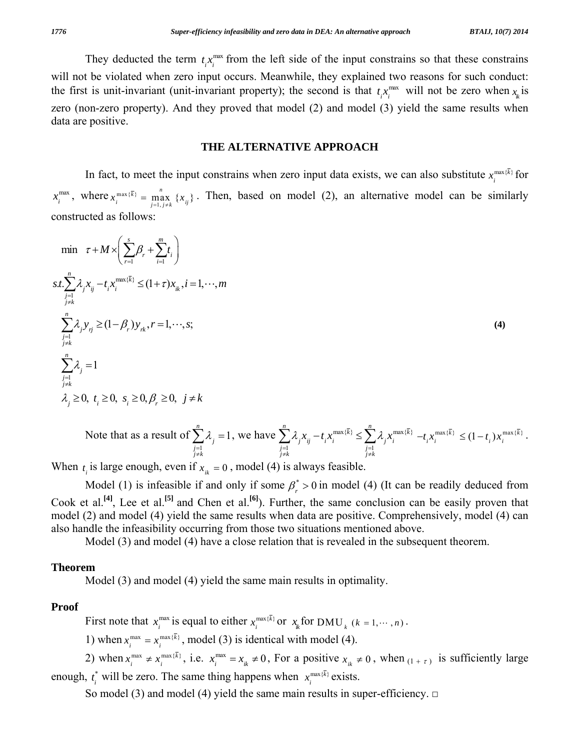They deducted the term  $t_i x_i^{\text{max}}$  from the left side of the input constrains so that these constrains will not be violated when zero input occurs. Meanwhile, they explained two reasons for such conduct: the first is unit-invariant (unit-invariant property); the second is that  $t_i x_i^{\max}$  will not be zero when  $x_{ik}$  is zero (non-zero property). And they proved that model (2) and model (3) yield the same results when data are positive.

#### **THE ALTERNATIVE APPROACH**

In fact, to meet the input constrains when zero input data exists, we can also substitute  $x_i^{\max\{k\}}$  for  $x_i^{\max}$ , where  $x_i^{\max\{\bar{k}\}} = \max_{j=1, j\neq k} \{x_{ij}\}\$ . Then, based on model (2), an alternative model can be similarly constructed as follows:  $x_i^{\max\{k\}} = \max_{j=1, j \neq k} \left\{ x_{ij} \right\}$ 

$$
\min \ \tau + M \times \left( \sum_{r=1}^{s} \beta_r + \sum_{i=1}^{m} t_i \right)
$$
\n
$$
s.t. \sum_{\substack{j=1 \ j \neq k}}^{n} \lambda_j x_{ij} - t_i x_i^{\max{\{\overline{k}\}}} \le (1+\tau)x_{ik}, i = 1, \dots, m
$$
\n
$$
\sum_{\substack{j=1 \ j \neq k}}^{n} \lambda_j y_{ij} \ge (1-\beta_r) y_{rk}, r = 1, \dots, s;
$$
\n
$$
\sum_{\substack{j=1 \ j \neq k}}^{n} \lambda_j = 1
$$
\n
$$
\lambda_j \ge 0, \ t_i \ge 0, \ s_i \ge 0, \beta_r \ge 0, \ j \neq k
$$
\n
$$
(4)
$$

Note that as a result of  $\sum \lambda_i = 1$ , we have  $\sum \lambda_i x_i - t_i x_i^{\max\{k\}} \le \sum \lambda_i x_i^{\max\{k\}} - t_i x_i^{\max\{k\}} \le (1-t_i) x_i^{\max\{k\}}$ . 1  $\sum_{i=1}^{n} \lambda_i = 1$  $\sum_{\substack{j=1 \ j\neq k}}$ λ = ≠  $\sum_{j=1} \lambda_j = 1$ , we have  $\sum_{j=1} \lambda_j x_{ij} - t_i x_i^{\max{\{\overline{k}\}}}$  $\sum_{k=1}^{n} 2^{k}$  *k*  $\max\{\overline{k}\}$  $\sum_{\substack{j=1 \ j \neq k}} \sum_{j=0}^{k} \sum_{j=0}^{k} \sum_{j=0}^{k}$  $\lambda_{i} x_{ii} - t_{i} x_{i}$ = ≠  $\sum_{j=1} \lambda_j x_{ij} - t_i x_i^{\max\{\bar{k}\}} \leq \sum_{j=1} \lambda_j x_i^{\max\{\bar{k}\}}$  $\sum_{k=1}^{n}$   $\sum_{k=1}^{n}$  *max* { $\overline{k}$  $\sum_{\substack{j=1 \ j\neq k}}$ λ *x* = ≠  $\leq \sum \lambda_j x_i^{\max\{\overline{k}\}} - t_i x_i^{\max\{\overline{k}\}} \leq (1-t_i) x_i^{\max\{\overline{k}\}}$ 

When  $t_i$  is large enough, even if  $x_{ik} = 0$ , model (4) is always feasible.

Model (1) is infeasible if and only if some  $\beta_r^* > 0$  in model (4) (It can be readily deduced from Cook et al.**[4]**, Lee et al.**[5]** and Chen et al.**[6]**). Further, the same conclusion can be easily proven that model (2) and model (4) yield the same results when data are positive. Comprehensively, model (4) can also handle the infeasibility occurring from those two situations mentioned above.

Model (3) and model (4) have a close relation that is revealed in the subsequent theorem.

#### **Theorem**

Model (3) and model (4) yield the same main results in optimality.

#### **Proof**

First note that  $x_i^{\max}$  is equal to either  $x_i^{\max{\{\overline{k}\}}}$  or  $x_k$  for DMU<sub>k</sub> ( $k = 1, \dots, n$ ).

1) when  $x_i^{\max} = x_i^{\max\{k\}}$ , model (3) is identical with model (4).

2) when  $x_i^{\max} \neq x_i^{\max{\{\overline{k}\}}}$ , i.e.  $x_i^{\max} = x_{ik} \neq 0$ , For a positive  $x_{ik} \neq 0$ , when  $(1 + \tau)$  is sufficiently large enough,  $t_i^*$  will be zero. The same thing happens when  $x_i^{\max{\{\overline{k}\}}}$  exists.  $t_i^*$  will be zero. The same thing happens when  $x_i^{\max\{k\}}$ 

So model (3) and model (4) yield the same main results in super-efficiency.  $\Box$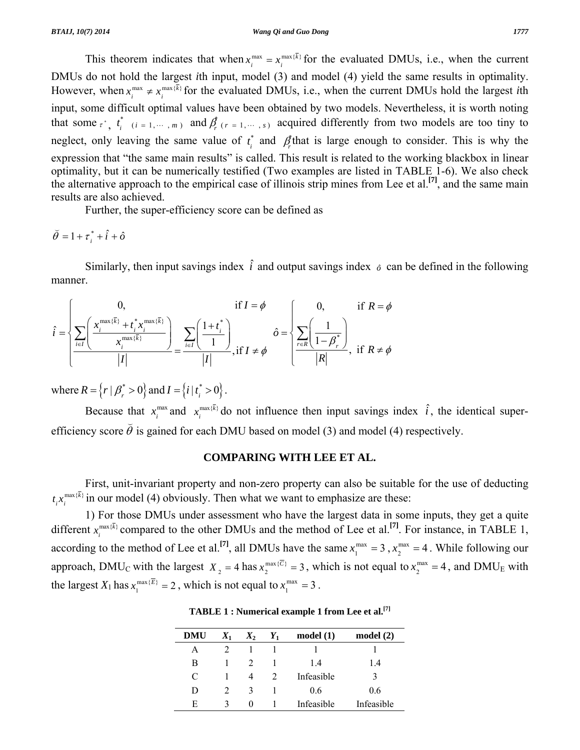This theorem indicates that when  $x_i^{\max} = x_i^{\max\{k\}}$  for the evaluated DMUs, i.e., when the current DMUs do not hold the largest *i*th input, model (3) and model (4) yield the same results in optimality. However, when  $x_i^{\max} \neq x_i^{\max\{k\}}$  for the evaluated DMUs, i.e., when the current DMUs hold the largest *i*th input, some difficult optimal values have been obtained by two models. Nevertheless, it is worth noting that some  $\tau^*$ ,  $t_i^*$  ( $i = 1, \dots, m$ ) and  $\beta_r^*$  ( $r = 1, \dots, s$ ) acquired differently from two models are too tiny to neglect, only leaving the same value of  $t_i^*$  and  $\beta$  that is large enough to consider. This is why the expression that "the same main results" is called. This result is related to the working blackbox in linear optimality, but it can be numerically testified (Two examples are listed in TABLE 1-6). We also check the alternative approach to the empirical case of illinois strip mines from Lee et al.**[7]**, and the same main results are also achieved.  $t_i^*$  and  $\beta_i^*$ 

Further, the super-efficiency score can be defined as

$$
\breve{\theta} = 1 + \tau_i^* + \hat{i} + \hat{o}
$$

Similarly, then input savings index  $\hat{i}$  and output savings index  $\hat{o}$  can be defined in the following manner.

$$
\hat{i} = \n\begin{cases}\n0, & \text{if } I = \phi \\
\frac{\sum_{i \in I} \left( \frac{x_i^{\max\{\bar{k}\}} + t_i^* x_i^{\max\{\bar{k}\}}}{x_i^{\max\{\bar{k}\}}}\right)}{|I|} = \frac{\sum_{i \in I} \left( \frac{1 + t_i^*}{1} \right)}{|I|}, & \text{if } I \neq \phi\n\end{cases}, \quad \hat{o} = \n\begin{cases}\n0, & \text{if } R = \phi \\
\frac{\sum_{r \in R} \left( \frac{1}{1 - \beta_r^*} \right)}{|R|}, & \text{if } R \neq \phi\n\end{cases}
$$

where  $R = \{ r \mid \beta_r^* > 0 \}$  and  $I = \{ i \mid t_i^* > 0 \}$ .

Because that  $x_i^{\max}$  and  $x_i^{\max}$  *i* $\bar{k}$  do not influence then input savings index  $\hat{i}$ , the identical superefficiency score  $\ddot{\theta}$  is gained for each DMU based on model (3) and model (4) respectively.

## **COMPARING WITH LEE ET AL.**

First, unit-invariant property and non-zero property can also be suitable for the use of deducting  $t_i x_i^{\max\{k\}}$  in our model (4) obviously. Then what we want to emphasize are these:

1) For those DMUs under assessment who have the largest data in some inputs, they get a quite different  $x_i^{\max(\bar{k})}$  compared to the other DMUs and the method of Lee et al.<sup>[7]</sup>. For instance, in TABLE 1, according to the method of Lee et al.<sup>[7]</sup>, all DMUs have the same  $x_1^{\max} = 3$ ,  $x_2^{\max} = 4$ . While following our approach, DMU<sub>C</sub> with the largest  $X_2 = 4$  has  $x_2^{\max{\{\overline{C}\}}} = 3$ , which is not equal to  $x_2^{\max} = 4$ , and DMU<sub>E</sub> with the largest  $X_1$  has  $x_1^{\max{\{\overline{E}\}}} = 2$ , which is not equal to  $x_1^{\max} = 3$ .

| TABLE 1 : Numerical example 1 from Lee et al. <sup>[7]</sup> |  |  |  |  |  |  |  |
|--------------------------------------------------------------|--|--|--|--|--|--|--|
|--------------------------------------------------------------|--|--|--|--|--|--|--|

| DMU | $X_1$ | $X_2$         | $Y_1$ | model(1)   | model(2)   |
|-----|-------|---------------|-------|------------|------------|
| А   |       |               |       |            |            |
| В   |       | $\mathcal{D}$ |       | 14         | 1.4        |
| C   |       | 4             |       | Infeasible |            |
| Ð   |       | ζ             |       | 0.6        | 0.6        |
| E   | 3     | $\theta$      |       | Infeasible | Infeasible |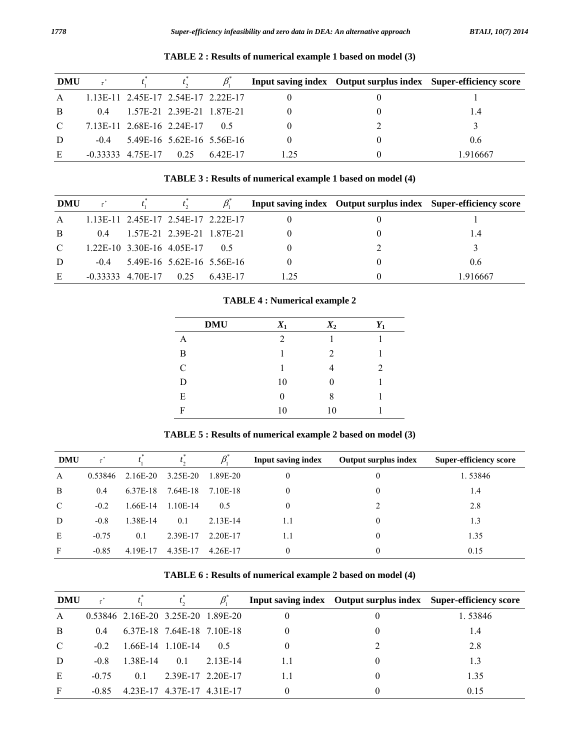| <b>DMU</b>    |        |                                     |         |       | Input saving index Output surplus index Super-efficiency score |
|---------------|--------|-------------------------------------|---------|-------|----------------------------------------------------------------|
| $\mathsf{A}$  |        | 1.13E-11 2.45E-17 2.54E-17 2.22E-17 |         |       |                                                                |
| B             | 04     | 1.57E-21 2.39E-21 1.87E-21          |         |       | 1.4                                                            |
| $\mathcal{C}$ |        | 7.13E-11 2.68E-16 2.24E-17          | 05      |       |                                                                |
| D             | $-0.4$ | 5.49E-16 5.62E-16 5.56E-16          |         |       | 0.6                                                            |
| E             |        | $-0.33333$ 4.75 E $-17$ 0.25        | 642E-17 | i 25. | 1.916667                                                       |

**TABLE 2 : Results of numerical example 1 based on model (3)** 

| <b>DMU</b>    |            |                                     |      |         |  | Input saving index Output surplus index Super-efficiency score |
|---------------|------------|-------------------------------------|------|---------|--|----------------------------------------------------------------|
| $\mathsf{A}$  |            | 1.13E-11 2.45E-17 2.54E-17 2.22E-17 |      |         |  |                                                                |
| B             | 04         | 1 57E-21 2 39E-21 1 87E-21          |      |         |  | 14                                                             |
| $\mathcal{C}$ |            | $1.22E-10$ 3.30E-16 4.05E-17 0.5    |      |         |  |                                                                |
| D             | $-0.4$     | 549E-16 562E-16 556E-16             |      |         |  | 0.6                                                            |
| E             | $-0.33333$ | 4.70E-17                            | 0.25 | 643E-17 |  | -916667                                                        |

**TABLE 3 : Results of numerical example 1 based on model (4)** 

**TABLE 4 : Numerical example 2** 

| <b>DMU</b>    | $X_1$    | $X_2$          | $\boldsymbol{Y_1}$ |
|---------------|----------|----------------|--------------------|
| A             | 2        |                |                    |
| B             |          | $\overline{2}$ |                    |
| $\mathcal{C}$ |          |                | 2                  |
| D             | 10       | 0              |                    |
| E             | $\theta$ | 8              |                    |
| F             | 10       | 10             |                    |
|               |          |                |                    |

#### **TABLE 5 : Results of numerical example 2 based on model (3)**

| <b>DMU</b>    | $\tau^*$ |          |          |          | Input saving index | Output surplus index | <b>Super-efficiency score</b> |
|---------------|----------|----------|----------|----------|--------------------|----------------------|-------------------------------|
| A             | 0.53846  | 2.16E-20 | 3.25E-20 | 1.89E-20 | $\theta$           | 0                    | 1.53846                       |
| B             | 0.4      | 6.37E-18 | 7.64E-18 | 7.10E-18 | 0                  |                      | 1.4                           |
| $\mathcal{C}$ | $-0.2$   | 1.66E-14 | 1.10E-14 | 0.5      |                    |                      | 2.8                           |
| D             | $-0.8$   | 1.38E-14 | 0.1      | 2.13E-14 | 1.1                |                      |                               |
| Ε             | $-0.75$  | 0.1      | 2.39E-17 | 2.20E-17 | 1.1                |                      | 1.35                          |
| F             | $-0.85$  | 4.19E-17 | 4.35E-17 | 4.26E-17 | 0                  |                      | 0.15                          |

**TABLE 6 : Results of numerical example 2 based on model (4)** 

| DMU            | $\tau^*$ |          |                                    |          |  | Input saving index Output surplus index Super-efficiency score |
|----------------|----------|----------|------------------------------------|----------|--|----------------------------------------------------------------|
| $\overline{A}$ |          |          | 0.53846 2.16E-20 3.25E-20 1.89E-20 |          |  | 1. 53846                                                       |
| B              | 0.4      |          | 6 37E-18 7 64E-18 7 10E-18         |          |  | 1.4                                                            |
| $\mathcal{C}$  | $-0.2$   |          | 1.66E-14 1.10E-14                  | -0.5     |  | 2.8                                                            |
| D              | $-0.8$   | 1 38E-14 | 0.1                                | 2.13E-14 |  | 1.3                                                            |
| E              | $-0.75$  | 0.1      | 2 39E-17 2 20E-17                  |          |  | 1.35                                                           |
| F              | $-0.85$  |          | 4.23E-17 4.37E-17 4.31E-17         |          |  | 0.15                                                           |